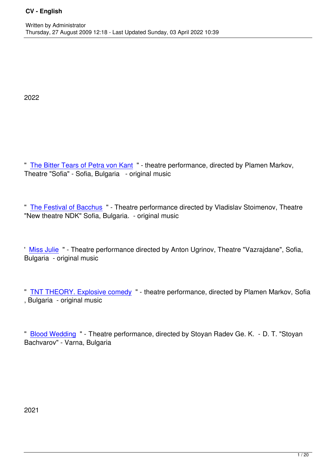2022

" The Bitter Tears of Petra von Kant " - theatre performance, directed by Plamen Markov, Theatre "Sofia" - Sofia, Bulgaria - original music

" The Festival of Bacchus " - Theatre performance directed by Vladislav Stoimenov, Theatre "New theatre NDK" Sofia, Bulgaria. - original music

' Miss Julie " - Theatre performance directed by Anton Ugrinov, Theatre "Vazrajdane", Sofia, Bulgaria - original music

" TNT THEORY. Explosive comedy " - theatre performance, directed by Plamen Markov, Sofia , Bulgaria - original music

" Blood Wedding " - Theatre performance, directed by Stoyan Radev Ge. K. - D. T. "Stoyan Bachvarov" - Varna, Bulgaria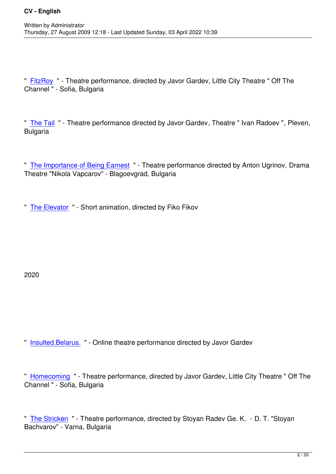" FitzRoy " - Theatre performance, directed by Javor Gardev, Little City Theatre " Off The Channel " - Sofia, Bulgaria

" The Tail " - Theatre performance directed by Javor Gardev, Theatre " Ivan Radoev ", Pleven, **Bulgaria** 

" The Importance of Being Earnest " - Theatre performance directed by Anton Ugrinov, Drama Theatre "Nikola Vapcarov" - Blagoevgrad, Bulgaria

" The Elevator " - Short animation, directed by Fiko Fikov

2020

" Insulted.Belarus. " - Online theatre performance directed by Javor Gardev

" [Homecoming " -](index.php?option=com_content&view=article&id=138) Theatre performance, directed by Javor Gardev, Little City Theatre " Off The Channel " - Sofia, Bulgaria

" The Stricken " - Theatre performance, directed by Stoyan Radev Ge. K. - D. T. "Stoyan Bachvarov" - Varna, Bulgaria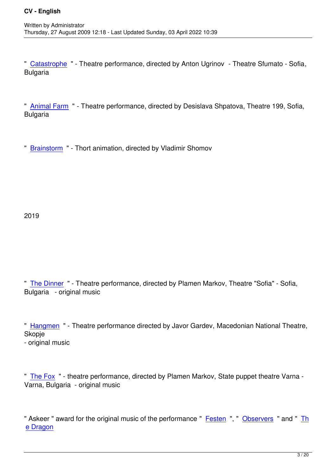" Catastrophe " - Theatre performance, directed by Anton Ugrinov - Theatre Sfumato - Sofia, **Bulgaria** 

" Animal Farm " - Theatre performance, directed by Desislava Shpatova, Theatre 199, Sofia, Bulgaria

" Brainstorm " - Thort animation, directed by Vladimir Shomov

2019

" The Dinner " - Theatre performance, directed by Plamen Markov, Theatre "Sofia" - Sofia, Bulgaria - original music

" Hangmen " - Theatre performance directed by Javor Gardev, Macedonian National Theatre, Skopje - original music

" The Fox " - theatre performance, directed by Plamen Markov, State puppet theatre Varna - Varna, Bulgaria - original music

" Askeer " award for the original music of the performance " Festen ", " Observers " and " Th e Dragon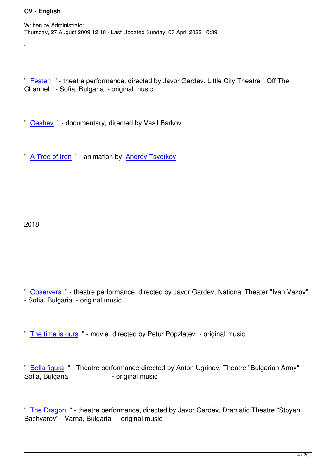" Festen " - theatre performance, directed by Javor Gardev, Little City Theatre " Off The Channel " - Sofia, Bulgaria - original music

" Geshev " - documentary, directed by Vasil Barkov

" [A Tree o](index.php?option=com_content&view=article&id=126)f Iron " - animation by Andrey Tsvetkov

2018

"

" Observers " - theatre performance, directed by Javor Gardev, National Theater "Ivan Vazov" - Sofia, Bulgaria - original music

" The time is ours " - movie, directed by Petur Popzlatev - original music

" [Bella figura " - T](index.php?option=com_content&view=article&id=127)heatre performance directed by Anton Ugrinov, Theatre "Bulgarian Army" - Sofia, Bulgaria - original music

" The Dragon " - theatre performance, directed by Javor Gardev, Dramatic Theatre "Stoyan Bachvarov" - Varna, Bulgaria - original music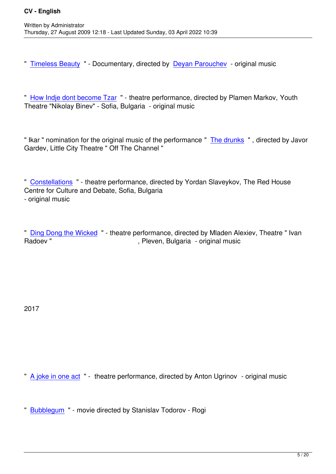Written by Administrator and Administrator and Administrator and Administrator and Administrator and Administrator and Administrator and Administrator and Administrator and Administrator and Administrator and Administrator

" Timeless Beauty " - Documentary, directed by Deyan Parouchev - original music

" [How Indje dont b](index.php?option=com_content&view=article&id=122)ecome Tzar " - theatre perfor[mance, directed by](http://deyan-parouchev.com/) Plamen Markov, Youth Theatre "Nikolay Binev" - Sofia, Bulgaria - original music

" Ikar " nomination for the original music of the performance " The drunks ", directed by Javor Gardev, Little City Theatre " Off The Channel "

" Constellations " - theatre performance, directed by Yordan Slaveykov, The Red House Centre for Culture and Debate, Sofia, Bulgaria - original music

" Ding Dong the Wicked " - theatre performance, directed by Mladen Alexiev, Theatre " Ivan<br>Pleven, Bulgaria - original music , Pleven, Bulgaria - original music

2017

" A joke in one act " - theatre performance, directed by Anton Ugrinov - original music

" [Bubblegum " - m](index.php?option=com_content&view=article&id=118&Itemid=57)ovie directed by Stanislav Todorov - Rogi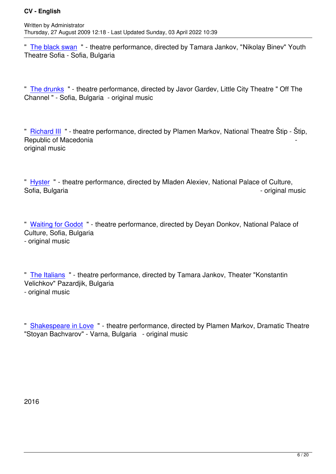" The black swan " - theatre performance, directed by Tamara Jankov, "Nikolay Binev" Youth Theatre Sofia - Sofia, Bulgaria

" The drunks " - theatre performance, directed by Javor Gardev, Little City Theatre " Off The Channel " - Sofia, Bulgaria - original music

" Richard III " - theatre performance, directed by Plamen Markov, National Theatre Štip - Štip, Republic of Macedonia original music

" Hyster " - theatre performance, directed by Mladen Alexiev, National Palace of Culture, Sofia, Bulgaria - original music - original music - original music

" Waiting for Godot " - theatre performance, directed by Deyan Donkov, National Palace of Culture, Sofia, Bulgaria - original music

" The Italians " - theatre performance, directed by Tamara Jankov, Theater "Konstantin Velichkov" Pazardjik, Bulgaria - original music

" Shakespeare in Love " - theatre performance, directed by Plamen Markov, Dramatic Theatre "Stoyan Bachvarov" - Varna, Bulgaria - original music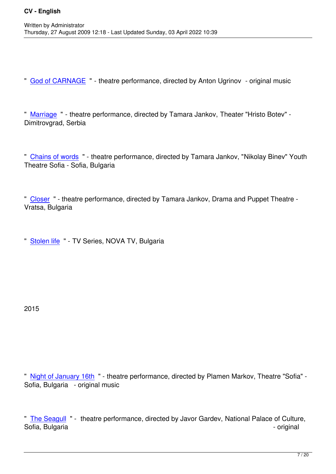Written by Administrator and Administrator and Administrator and Administrator and Administrator and Administrator and Administrator and Administrator and Administrator and Administrator and Administrator and Administrator

" God of CARNAGE " - theatre performance, directed by Anton Ugrinov - original music

" [Marriage " - theatr](index.php?option=com_content&view=article&id=110)e performance, directed by Tamara Jankov, Theater "Hristo Botev" - Dimitrovgrad, Serbia

" Chains of words " - theatre performance, directed by Tamara Jankov, "Nikolay Binev" Youth Theatre Sofia - Sofia, Bulgaria

" Closer " - theatre performance, directed by Tamara Jankov, Drama and Puppet Theatre - Vratsa, Bulgaria

" Stolen life " - TV Series, NOVA TV, Bulgaria

2015

" Night of January 16th " - theatre performance, directed by Plamen Markov, Theatre "Sofia" - Sofia, Bulgaria - original music

" The Seagull " - theatre performance, directed by Javor Gardev, National Palace of Culture, Sofia, Bulgaria - original - original - original - original - original - original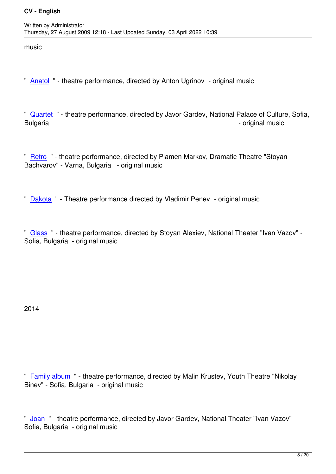music

" Anatol " - theatre performance, directed by Anton Ugrinov - original music

" [Quarte](index.php?option=com_content&view=article&id=103&Itemid=54)t " - theatre performance, directed by Javor Gardev, National Palace of Culture, Sofia, Bulgaria - original music - original music - original music

" Retro " - theatre performance, directed by Plamen Markov, Dramatic Theatre "Stoyan Bachvarov" - Varna, Bulgaria - original music

" Dakota " - Theatre performance directed by Vladimir Penev - original music

" [Glass "](index.php?option=com_content&view=article&id=100&Itemid=54) - theatre performance, directed by Stoyan Alexiev, National Theater "Ivan Vazov" - Sofia, Bulgaria - original music

2014

" Family album " - theatre performance, directed by Malin Krustev, Youth Theatre "Nikolay Binev" - Sofia, Bulgaria - original music

" Joan " - theatre performance, directed by Javor Gardev, National Theater "Ivan Vazov" - Sofia, Bulgaria - original music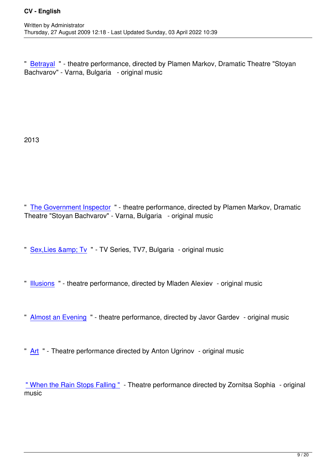" Betrayal " - theatre performance, directed by Plamen Markov, Dramatic Theatre "Stoyan Bachvarov" - Varna, Bulgaria - original music

2013

" The Government Inspector " - theatre performance, directed by Plamen Markov, Dramatic Theatre "Stoyan Bachvarov" - Varna, Bulgaria - original music

" Sex, Lies & amp; Tv " - TV Series, TV7, Bulgaria - original music

- " [Illusions " theatre](http://slt.tv7.bg/) performance, directed by Mladen Alexiev original music
- " **[Almost a](index.php?option=com_content&view=article&id=92&Itemid=57)n Evening** " theatre performance, directed by Javor Gardev original music
- " [Art " Theatre perf](index.php?option=com_content&view=article&id=91%3Aalmost-an-evening&Itemid=54)ormance directed by Anton Ugrinov original music

" [Wh](index.php?option=com_content&view=article&id=90)en the Rain Stops Falling " - Theatre performance directed by Zornitsa Sophia - original music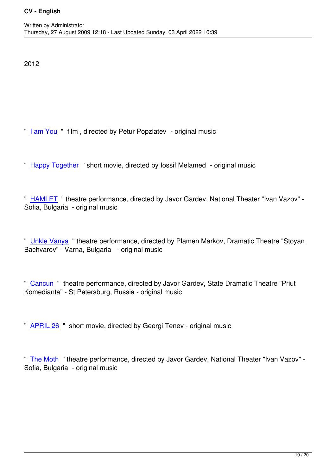## 2012

- " I am You " film , directed by Petur Popzlatev original music
- " [Happy To](index.php?option=com_content&view=article&id=89)gether " short movie, directed by lossif Melamed original music
- " [HAMLET " theat](index.php?option=com_content&view=article&id=87&Itemid=55)re performance, directed by Javor Gardev, National Theater "Ivan Vazov" Sofia, Bulgaria - original music

" Unkle Vanya " theatre performance, directed by Plamen Markov, Dramatic Theatre "Stoyan Bachvarov" - Varna, Bulgaria - original music

" Cancun " theatre performance, directed by Javor Gardev, State Dramatic Theatre "Priut Komedianta" - St.Petersburg, Russia - original music

" APRIL 26 " short movie, directed by Georgi Tenev - original music

" [The Moth](index.php?option=com_content&view=article&id=83) " theatre performance, directed by Javor Gardev, National Theater "Ivan Vazov" - Sofia, Bulgaria - original music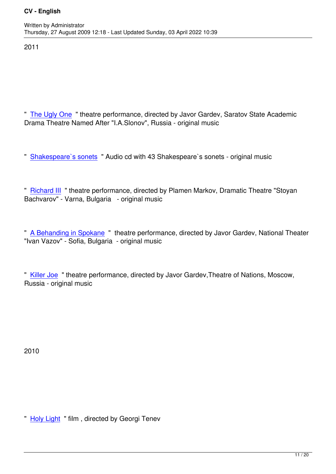2011

" The Ugly One " theatre performance, directed by Javor Gardev, Saratov State Academic Drama Theatre Named After "I.A.Slonov", Russia - original music

" Shakespeare`s sonets " Audio cd with 43 Shakespeare`s sonets - original music

" [Richard III " theatre pe](index.php?option=com_content&view=article&id=79)rformance, directed by Plamen Markov, Dramatic Theatre "Stoyan Bachvarov" - Varna, Bulgaria - original music

" A Behanding in Spokane " theatre performance, directed by Javor Gardev, National Theater "Ivan Vazov" - Sofia, Bulgaria - original music

" Killer Joe " theatre performance, directed by Javor Gardev,Theatre of Nations, Moscow, Russia - original music

2010

" Holy Light " film, directed by Georgi Tenev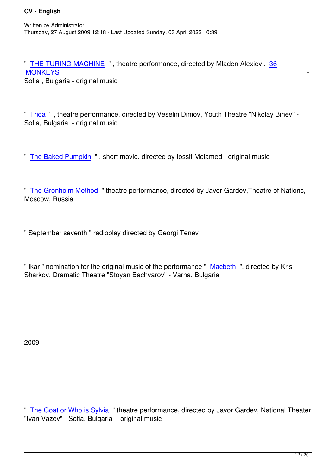" THE TURING MACHINE " , theatre performance, directed by Mladen Alexiev , 36 where the contract of the contract of the contract of the contract of the contract of the contract of the contract of the contract of the contract of the contract of the contract of the contract of the contract of the cont Sofia , Bulgaria - original music

" Frida " , theatre performance, directed by Veselin Dimov, Youth Theatre "Nikolay Binev" - Sofia, Bulgaria - original music

" The Baked Pumpkin " , short movie, directed by Iossif Melamed - original music

" [The Gronholm Metho](index.php?option=com_content&view=article&id=73)d " theatre performance, directed by Javor Gardev,Theatre of Nations, Moscow, Russia

" September seventh " radioplay directed by Georgi Tenev

" Ikar " nomination for the original music of the performance " Macbeth ", directed by Kris Sharkov, Dramatic Theatre "Stoyan Bachvarov" - Varna, Bulgaria

2009

" The Goat or Who is Sylvia " theatre performance, directed by Javor Gardev, National Theater "Ivan Vazov" - Sofia, Bulgaria - original music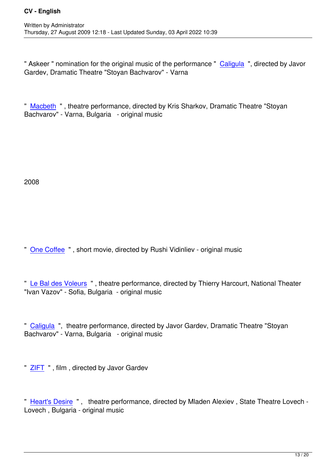" Askeer " nomination for the original music of the performance " Caligula ", directed by Javor Gardev, Dramatic Theatre "Stoyan Bachvarov" - Varna

" Macbeth " , theatre performance, directed by Kris Sharkov, Dramatic Theatre "Stoyan Bachvarov" - Varna, Bulgaria - original music

2008

Written by Administrator and Administrator and Administrator and Administrator and Administrator and Administrator and Administrator and Administrator and Administrator and Administrator and Administrator and Administrator

" One Coffee " , short movie, directed by Rushi Vidinliev - original music

" [Le Bal des V](http://www.nescafe.bg/70godini/)oleurs " , theatre performance, directed by Thierry Harcourt, National Theater "Ivan Vazov" - Sofia, Bulgaria - original music

" Caligula ", theatre performance, directed by Javor Gardev, Dramatic Theatre "Stoyan Bachvarov" - Varna, Bulgaria - original music

" ZIFT ", film, directed by Javor Gardev

" [Hear](index.php?option=com_content&view=article&id=66&Itemid=56)t's Desire " , theatre performance, directed by Mladen Alexiev , State Theatre Lovech - Lovech , Bulgaria - original music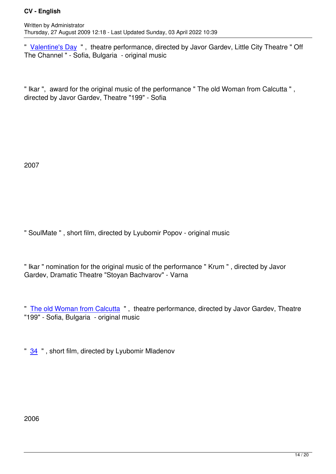" Valentine's Day ", theatre performance, directed by Javor Gardev, Little City Theatre " Off The Channel " - Sofia, Bulgaria - original music

" Ikar ", award for the original music of the performance " The old Woman from Calcutta " , directed by Javor Gardev, Theatre "199" - Sofia

2007

" SoulMate " , short film, directed by Lyubomir Popov - original music

" Ikar " nomination for the original music of the performance " Krum " , directed by Javor Gardev, Dramatic Theatre "Stoyan Bachvarov" - Varna

" The old Woman from Calcutta " , theatre performance, directed by Javor Gardev, Theatre "199" - Sofia, Bulgaria - original music

" 34 ", short film, directed by Lyubomir Mladenov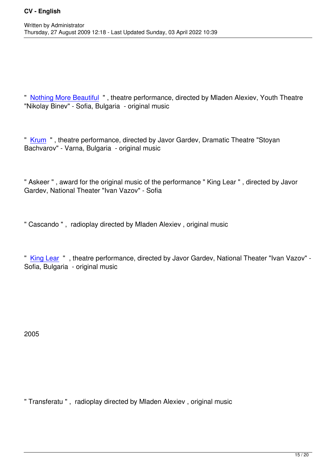Written by Administrator and Administrator and Administrator and Administrator and Administrator and Administrator and Administrator and Administrator and Administrator and Administrator and Administrator and Administrator

" Nothing More Beautiful " , theatre performance, directed by Mladen Alexiev, Youth Theatre "Nikolay Binev" - Sofia, Bulgaria - original music

" Krum " , theatre performance, directed by Javor Gardev, Dramatic Theatre "Stoyan Bachvarov" - Varna, Bulgaria - original music

" Askeer " , award for the original music of the performance " King Lear " , directed by Javor Gardev, National Theater "Ivan Vazov" - Sofia

" Cascando " , radioplay directed by Mladen Alexiev , original music

" King Lear " , theatre performance, directed by Javor Gardev, National Theater "Ivan Vazov" - Sofia, Bulgaria - original music

2005

" Transferatu " , radioplay directed by Mladen Alexiev , original music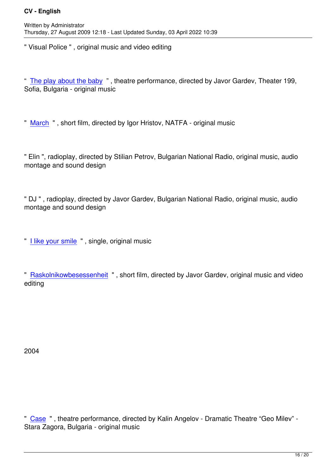" Visual Police " , original music and video editing

" The play about the baby " , theatre performance, directed by Javor Gardev, Theater 199, Sofia, Bulgaria - original music

" March " , short film, directed by Igor Hristov, NATFA - original music

" [Elin ", r](Video/Mart.mov)adioplay, directed by Stilian Petrov, Bulgarian National Radio, original music, audio montage and sound design

" DJ " , radioplay, directed by Javor Gardev, Bulgarian National Radio, original music, audio montage and sound design

" I like your smile " , single, original music

" [Raskolnikowbes](Video/Haresvam_Usmivkata_ti.mov)essenheit " , short film, directed by Javor Gardev, original music and video editing

2004

" Case " , theatre performance, directed by Kalin Angelov - Dramatic Theatre "Geo Milev" - Stara Zagora, Bulgaria - original music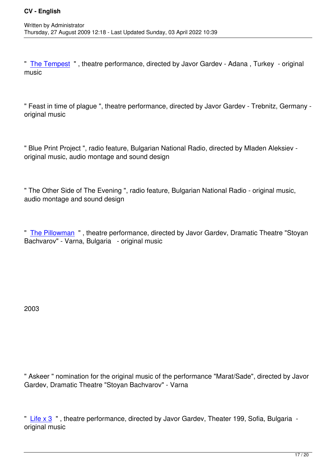" The Tempest " , theatre performance, directed by Javor Gardev - Adana , Turkey - original music

" Feast in time of plague ", theatre performance, directed by Javor Gardev - Trebnitz, Germany original music

" Blue Print Project ", radio feature, Bulgarian National Radio, directed by Mladen Aleksiev original music, audio montage and sound design

" The Other Side of The Evening ", radio feature, Bulgarian National Radio - original music, audio montage and sound design

" The Pillowman " , theatre performance, directed by Javor Gardev, Dramatic Theatre "Stoyan Bachvarov" - Varna, Bulgaria - original music

2003

" Askeer " nomination for the original music of the performance "Marat/Sade", directed by Javor Gardev, Dramatic Theatre "Stoyan Bachvarov" - Varna

" Life x 3 ", theatre performance, directed by Javor Gardev, Theater 199, Sofia, Bulgaria original music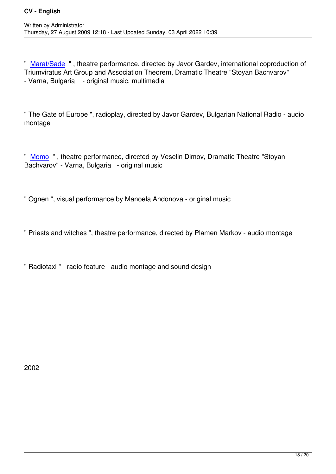" Marat/Sade " , theatre performance, directed by Javor Gardev, international coproduction of Triumviratus Art Group and Association Theorem, Dramatic Theatre "Stoyan Bachvarov" - Varna, Bulgaria - original music, multimedia

" The Gate of Europe ", radioplay, directed by Javor Gardev, Bulgarian National Radio - audio montage

" Momo " , theatre performance, directed by Veselin Dimov, Dramatic Theatre "Stoyan Bachvarov" - Varna, Bulgaria - original music

" Ognen ", visual performance by Manoela Andonova - original music

" Priests and witches ", theatre performance, directed by Plamen Markov - audio montage

" Radiotaxi " - radio feature - audio montage and sound design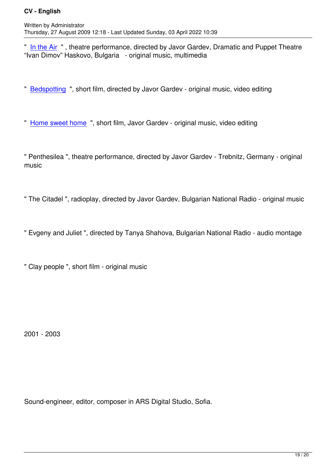" In the Air " , theatre performance, directed by Javor Gardev, Dramatic and Puppet Theatre "Ivan Dimov" Haskovo, Bulgaria - original music, multimedia

" Bedspotting ", short film, directed by Javor Gardev - original music, video editing

" [Home sweet](Video/Bedspotting.mov) home ", short film, Javor Gardev - original music, video editing

" [Penthesilea ", theat](Video/Oh_Sweet_Home_Of_Mine.mov)re performance, directed by Javor Gardev - Trebnitz, Germany - original music

" The Citadel ", radioplay, directed by Javor Gardev, Bulgarian National Radio - original music

" Evgeny and Juliet ", directed by Tanya Shahova, Bulgarian National Radio - audio montage

" Clay people ", short film - original music

2001 - 2003

Sound-engineer, editor, composer in ARS Digital Studio, Sofia.